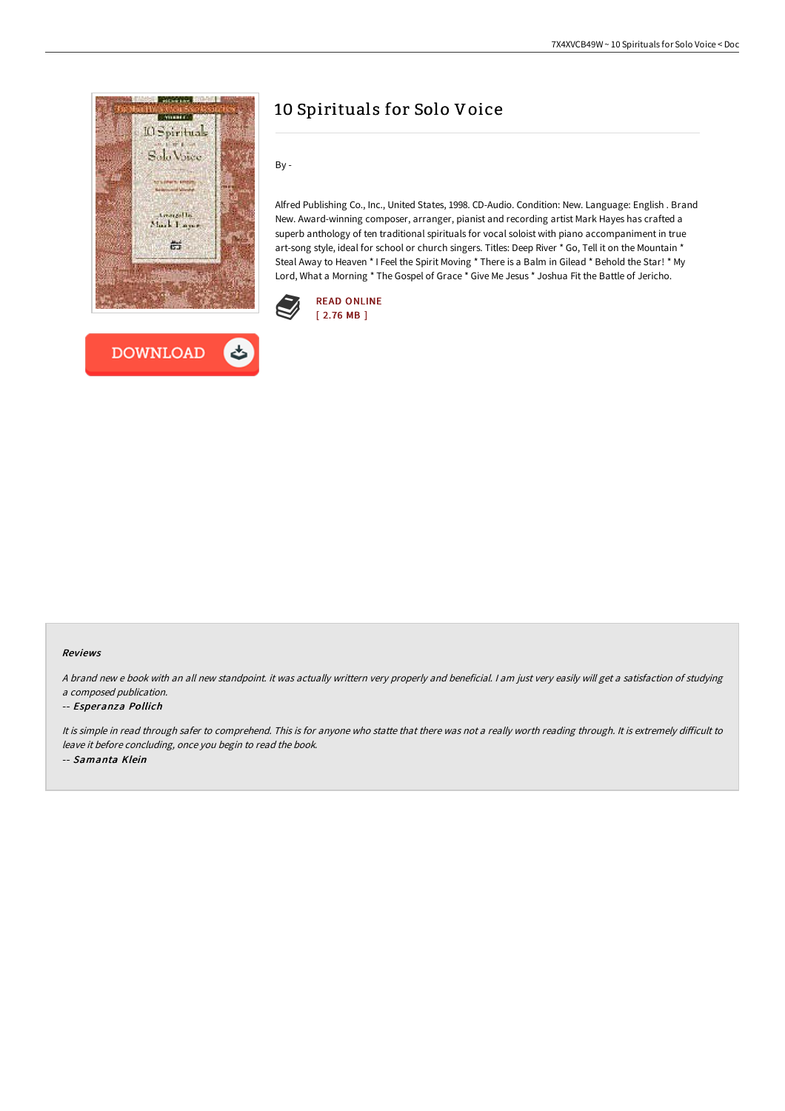



# 10 Spirituals for Solo Voice

By -

Alfred Publishing Co., Inc., United States, 1998. CD-Audio. Condition: New. Language: English . Brand New. Award-winning composer, arranger, pianist and recording artist Mark Hayes has crafted a superb anthology of ten traditional spirituals for vocal soloist with piano accompaniment in true art-song style, ideal for school or church singers. Titles: Deep River \* Go, Tell it on the Mountain \* Steal Away to Heaven \* I Feel the Spirit Moving \* There is a Balm in Gilead \* Behold the Star! \* My Lord, What a Morning \* The Gospel of Grace \* Give Me Jesus \* Joshua Fit the Battle of Jericho.



#### Reviews

<sup>A</sup> brand new <sup>e</sup> book with an all new standpoint. it was actually writtern very properly and beneficial. <sup>I</sup> am just very easily will get <sup>a</sup> satisfaction of studying <sup>a</sup> composed publication.

#### -- Esperanza Pollich

It is simple in read through safer to comprehend. This is for anyone who statte that there was not a really worth reading through. It is extremely difficult to leave it before concluding, once you begin to read the book. -- Samanta Klein